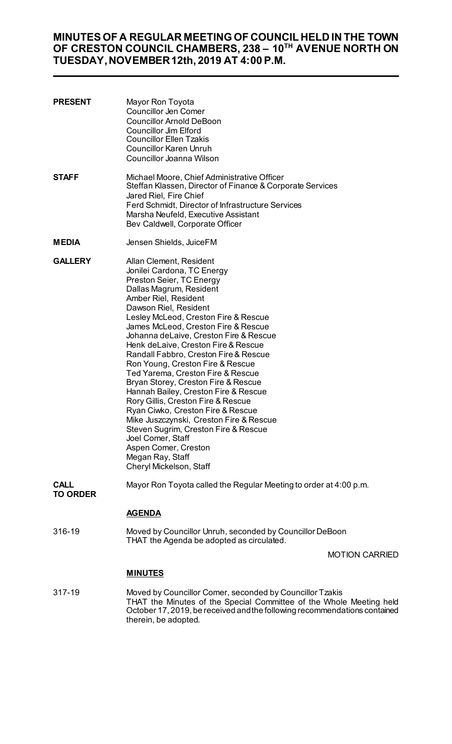# **MINUTES OF A REGULAR MEETING OF COUNCIL HELD IN THE TOWN OF CRESTON COUNCIL CHAMBERS, 238 – 10TH AVENUE NORTH ON TUESDAY, NOVEMBER 12th, 2019 AT 4:00 P.M.**

| <b>PRESENT</b>                 | Mayor Ron Toyota<br><b>Councillor Jen Comer</b><br><b>Councillor Arnold DeBoon</b><br><b>Councillor Jim Elford</b><br><b>Councillor Ellen Tzakis</b><br><b>Councillor Karen Unruh</b><br>Councillor Joanna Wilson                                                                                                                                                                                                                                                                                                                                                                                                                                                                                                                                                                        |                       |
|--------------------------------|------------------------------------------------------------------------------------------------------------------------------------------------------------------------------------------------------------------------------------------------------------------------------------------------------------------------------------------------------------------------------------------------------------------------------------------------------------------------------------------------------------------------------------------------------------------------------------------------------------------------------------------------------------------------------------------------------------------------------------------------------------------------------------------|-----------------------|
| <b>STAFF</b>                   | Michael Moore, Chief Administrative Officer<br>Steffan Klassen, Director of Finance & Corporate Services<br>Jared Riel, Fire Chief<br>Ferd Schmidt, Director of Infrastructure Services<br>Marsha Neufeld, Executive Assistant<br>Bev Caldwell, Corporate Officer                                                                                                                                                                                                                                                                                                                                                                                                                                                                                                                        |                       |
| <b>MEDIA</b>                   | Jensen Shields, JuiceFM                                                                                                                                                                                                                                                                                                                                                                                                                                                                                                                                                                                                                                                                                                                                                                  |                       |
| <b>GALLERY</b>                 | Allan Clement, Resident<br>Jonilei Cardona, TC Energy<br>Preston Seier, TC Energy<br>Dallas Magrum, Resident<br>Amber Riel, Resident<br>Dawson Riel, Resident<br>Lesley McLeod, Creston Fire & Rescue<br>James McLeod, Creston Fire & Rescue<br>Johanna deLaive, Creston Fire & Rescue<br>Henk deLaive, Creston Fire & Rescue<br>Randall Fabbro, Creston Fire & Rescue<br>Ron Young, Creston Fire & Rescue<br>Ted Yarema, Creston Fire & Rescue<br>Bryan Storey, Creston Fire & Rescue<br>Hannah Bailey, Creston Fire & Rescue<br>Rory Gillis, Creston Fire & Rescue<br>Ryan Ciwko, Creston Fire & Rescue<br>Mike Juszczynski, Creston Fire & Rescue<br>Steven Sugrim, Creston Fire & Rescue<br>Joel Comer, Staff<br>Aspen Comer, Creston<br>Megan Ray, Staff<br>Cheryl Mickelson, Staff |                       |
| <b>CALL</b><br><b>TO ORDER</b> | Mayor Ron Toyota called the Regular Meeting to order at 4:00 p.m.                                                                                                                                                                                                                                                                                                                                                                                                                                                                                                                                                                                                                                                                                                                        |                       |
|                                | <b>AGENDA</b>                                                                                                                                                                                                                                                                                                                                                                                                                                                                                                                                                                                                                                                                                                                                                                            |                       |
| 316-19                         | Moved by Councillor Unruh, seconded by Councillor DeBoon<br>THAT the Agenda be adopted as circulated.                                                                                                                                                                                                                                                                                                                                                                                                                                                                                                                                                                                                                                                                                    |                       |
|                                |                                                                                                                                                                                                                                                                                                                                                                                                                                                                                                                                                                                                                                                                                                                                                                                          | <b>MOTION CARRIED</b> |

## **MINUTES**

317-19 Moved by Councillor Comer, seconded by Councillor Tzakis THAT the Minutes of the Special Committee of the Whole Meeting held October 17, 2019, be received and the following recommendations contained therein, be adopted.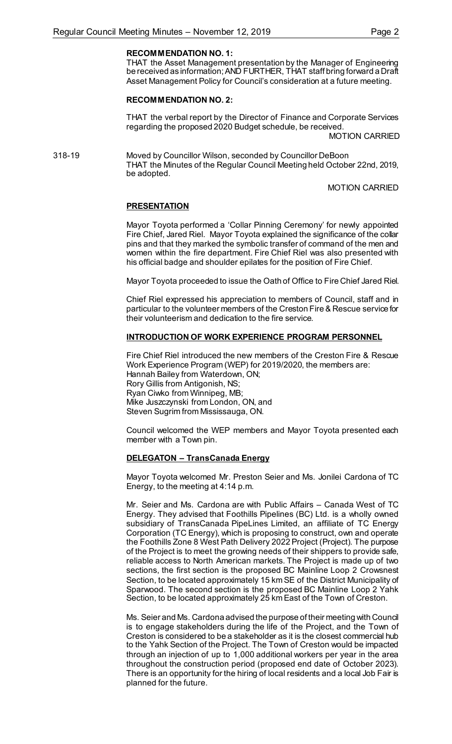## **RECOMMENDATION NO. 1:**

THAT the Asset Management presentation by the Manager of Engineering be received as information; AND FURTHER, THAT staff bring forward a Draft Asset Management Policy for Council's consideration at a future meeting.

### **RECOMMENDATION NO. 2:**

THAT the verbal report by the Director of Finance and Corporate Services regarding the proposed 2020 Budget schedule, be received.

MOTION CARRIED

318-19 Moved by Councillor Wilson, seconded by Councillor DeBoon THAT the Minutes of the Regular Council Meeting held October 22nd, 2019, be adopted.

MOTION CARRIED

#### **PRESENTATION**

Mayor Toyota performed a 'Collar Pinning Ceremony' for newly appointed Fire Chief, Jared Riel. Mayor Toyota explained the significance of the collar pins and that they marked the symbolic transfer of command of the men and women within the fire department. Fire Chief Riel was also presented with his official badge and shoulder epilates for the position of Fire Chief.

Mayor Toyota proceeded to issue the Oath of Office to Fire Chief Jared Riel.

Chief Riel expressed his appreciation to members of Council, staff and in particular to the volunteer members of the Creston Fire & Rescue service for their volunteerism and dedication to the fire service.

## **INTRODUCTION OF WORK EXPERIENCE PROGRAM PERSONNEL**

Fire Chief Riel introduced the new members of the Creston Fire & Rescue Work Experience Program (WEP) for 2019/2020, the members are: Hannah Bailey from Waterdown, ON; Rory Gillis from Antigonish, NS; Ryan Ciwko from Winnipeg, MB; Mike Juszczynski from London, ON, and Steven Sugrim from Mississauga, ON.

Council welcomed the WEP members and Mayor Toyota presented each member with a Town pin.

#### **DELEGATON – TransCanada Energy**

Mayor Toyota welcomed Mr. Preston Seier and Ms. Jonilei Cardona of TC Energy, to the meeting at 4:14 p.m.

Mr. Seier and Ms. Cardona are with Public Affairs – Canada West of TC Energy. They advised that Foothills Pipelines (BC) Ltd. is a wholly owned subsidiary of TransCanada PipeLines Limited, an affiliate of TC Energy Corporation (TC Energy), which is proposing to construct, own and operate the Foothills Zone 8 West Path Delivery 2022 Project (Project). The purpose of the Project is to meet the growing needs of their shippers to provide safe, reliable access to North American markets. The Project is made up of two sections, the first section is the proposed BC Mainline Loop 2 Crowsnest Section, to be located approximately 15 km SE of the District Municipality of Sparwood. The second section is the proposed BC Mainline Loop 2 Yahk Section, to be located approximately 25 km East of the Town of Creston.

Ms. Seier and Ms. Cardona advised the purpose of their meeting with Council is to engage stakeholders during the life of the Project, and the Town of Creston is considered to be a stakeholder as it is the closest commercial hub to the Yahk Section of the Project. The Town of Creston would be impacted through an injection of up to 1,000 additional workers per year in the area throughout the construction period (proposed end date of October 2023). There is an opportunity for the hiring of local residents and a local Job Fair is planned for the future.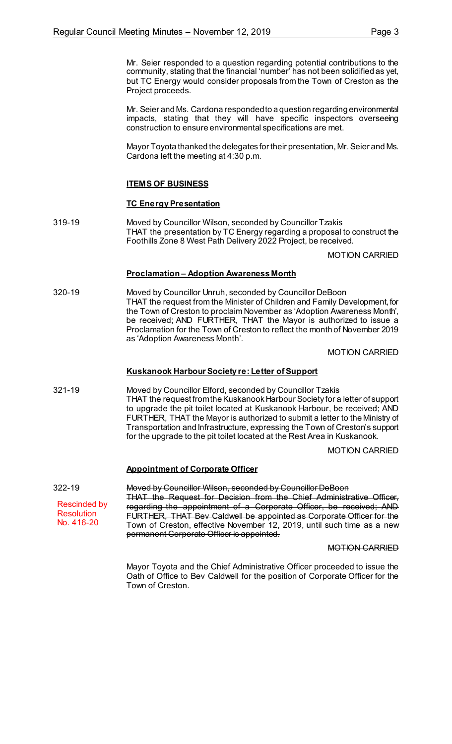Mr. Seier responded to a question regarding potential contributions to the community, stating that the financial 'number' has not been solidified as yet, but TC Energy would consider proposals from the Town of Creston as the Project proceeds.

Mr. Seier and Ms. Cardona responded to a question regarding environmental impacts, stating that they will have specific inspectors overseeing construction to ensure environmental specifications are met.

Mayor Toyota thanked the delegates for their presentation, Mr. Seier and Ms. Cardona left the meeting at 4:30 p.m.

## **ITEMS OF BUSINESS**

## **TC Energy Presentation**

319-19 Moved by Councillor Wilson, seconded by Councillor Tzakis THAT the presentation by TC Energy regarding a proposal to construct the Foothills Zone 8 West Path Delivery 2022 Project, be received.

MOTION CARRIED

## **Proclamation – Adoption Awareness Month**

320-19 Moved by Councillor Unruh, seconded by Councillor DeBoon THAT the request from the Minister of Children and Family Development, for the Town of Creston to proclaim November as 'Adoption Awareness Month', be received; AND FURTHER, THAT the Mayor is authorized to issue a Proclamation for the Town of Creston to reflect the month of November 2019 as 'Adoption Awareness Month'.

MOTION CARRIED

## **Kuskanook Harbour Society re: Letter of Support**

321-19 Moved by Councillor Elford, seconded by Councillor Tzakis THAT the request from the Kuskanook Harbour Society for a letter of support to upgrade the pit toilet located at Kuskanook Harbour, be received; AND FURTHER, THAT the Mayor is authorized to submit a letter to the Ministry of Transportation and Infrastructure, expressing the Town of Creston's support for the upgrade to the pit toilet located at the Rest Area in Kuskanook.

MOTION CARRIED

## **Appointment of Corporate Officer**

322-19 Moved by Councillor Wilson, seconded by Councillor DeBoon THAT the Request for Decision from the Chief Administrative Officer, regarding the appointment of a Corporate Officer, be received; AND FURTHER, THAT Bev Caldwell be appointed as Corporate Officer for the Town of Creston, effective November 12, 2019, until such time as a new permanent Corporate Officer is appointed. Rescinded by **Resolution** No. 416-20

MOTION CARRIED

Mayor Toyota and the Chief Administrative Officer proceeded to issue the Oath of Office to Bev Caldwell for the position of Corporate Officer for the Town of Creston.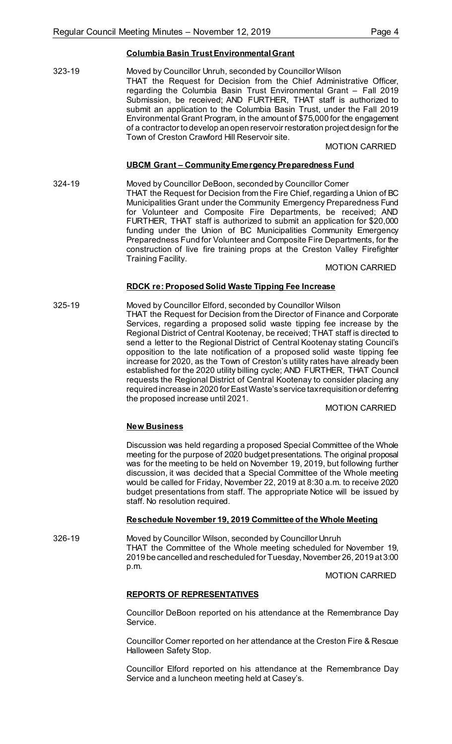## **Columbia Basin Trust Environmental Grant**

323-19 Moved by Councillor Unruh, seconded by Councillor Wilson THAT the Request for Decision from the Chief Administrative Officer, regarding the Columbia Basin Trust Environmental Grant – Fall 2019 Submission, be received; AND FURTHER, THAT staff is authorized to submit an application to the Columbia Basin Trust, under the Fall 2019 Environmental Grant Program, in the amount of \$75,000 for the engagement of a contractor to develop an open reservoir restoration project design for the Town of Creston Crawford Hill Reservoir site.

#### MOTION CARRIED

## **UBCM Grant – Community Emergency Preparedness Fund**

324-19 Moved by Councillor DeBoon, seconded by Councillor Comer THAT the Request for Decision from the Fire Chief, regarding a Union of BC Municipalities Grant under the Community Emergency Preparedness Fund for Volunteer and Composite Fire Departments, be received; AND FURTHER, THAT staff is authorized to submit an application for \$20,000 funding under the Union of BC Municipalities Community Emergency Preparedness Fund for Volunteer and Composite Fire Departments, for the construction of live fire training props at the Creston Valley Firefighter Training Facility.

#### MOTION CARRIED

## **RDCK re: Proposed Solid Waste Tipping Fee Increase**

325-19 Moved by Councillor Elford, seconded by Councillor Wilson THAT the Request for Decision from the Director of Finance and Corporate Services, regarding a proposed solid waste tipping fee increase by the Regional District of Central Kootenay, be received; THAT staff is directed to send a letter to the Regional District of Central Kootenay stating Council's opposition to the late notification of a proposed solid waste tipping fee increase for 2020, as the Town of Creston's utility rates have already been established for the 2020 utility billing cycle; AND FURTHER, THAT Council requests the Regional District of Central Kootenay to consider placing any required increase in 2020 for EastWaste's service tax requisition or deferring the proposed increase until 2021.

#### MOTION CARRIED

## **New Business**

Discussion was held regarding a proposed Special Committee of the Whole meeting for the purpose of 2020 budget presentations. The original proposal was for the meeting to be held on November 19, 2019, but following further discussion, it was decided that a Special Committee of the Whole meeting would be called for Friday, November 22, 2019 at 8:30 a.m. to receive 2020 budget presentations from staff. The appropriate Notice will be issued by staff. No resolution required.

## **Reschedule November 19, 2019 Committee of the Whole Meeting**

326-19 Moved by Councillor Wilson, seconded by Councillor Unruh THAT the Committee of the Whole meeting scheduled for November 19, 2019 be cancelled and rescheduled for Tuesday, November 26, 2019 at 3:00 p.m.

MOTION CARRIED

## **REPORTS OF REPRESENTATIVES**

Councillor DeBoon reported on his attendance at the Remembrance Day Service.

Councillor Comer reported on her attendance at the Creston Fire & Rescue Halloween Safety Stop.

Councillor Elford reported on his attendance at the Remembrance Day Service and a luncheon meeting held at Casey's.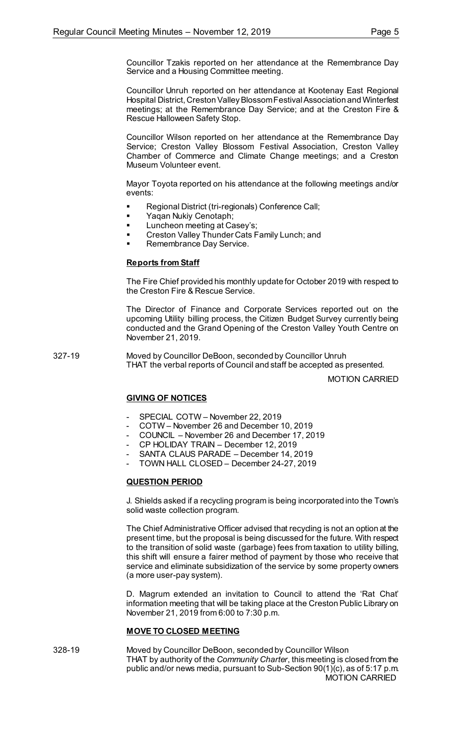Councillor Tzakis reported on her attendance at the Remembrance Day Service and a Housing Committee meeting.

Councillor Unruh reported on her attendance at Kootenay East Regional Hospital District, Creston Valley Blossom Festival Association and Winterfest meetings; at the Remembrance Day Service; and at the Creston Fire & Rescue Halloween Safety Stop.

Councillor Wilson reported on her attendance at the Remembrance Day Service; Creston Valley Blossom Festival Association, Creston Valley Chamber of Commerce and Climate Change meetings; and a Creston Museum Volunteer event.

Mayor Toyota reported on his attendance at the following meetings and/or events:

- Regional District (tri-regionals) Conference Call;
- Yaqan Nukiy Cenotaph;
- Luncheon meeting at Casey's;
- **EXECT:** Creston Valley Thunder Cats Family Lunch; and
- Remembrance Day Service.

## **Reports from Staff**

The Fire Chief provided his monthly update for October 2019 with respect to the Creston Fire & Rescue Service.

The Director of Finance and Corporate Services reported out on the upcoming Utility billing process, the Citizen Budget Survey currently being conducted and the Grand Opening of the Creston Valley Youth Centre on November 21, 2019.

327-19 Moved by Councillor DeBoon, seconded by Councillor Unruh THAT the verbal reports of Council and staff be accepted as presented.

MOTION CARRIED

## **GIVING OF NOTICES**

- SPECIAL COTW November 22, 2019
- COTW November 26 and December 10, 2019
- COUNCIL November 26 and December 17, 2019
- CP HOLIDAY TRAIN December 12, 2019
- SANTA CLAUS PARADE December 14, 2019
- TOWN HALL CLOSED December 24-27, 2019

## **QUESTION PERIOD**

J. Shields asked if a recycling program is being incorporated into the Town's solid waste collection program.

The Chief Administrative Officer advised that recycling is not an option at the present time, but the proposal is being discussed for the future. With respect to the transition of solid waste (garbage) fees from taxation to utility billing, this shift will ensure a fairer method of payment by those who receive that service and eliminate subsidization of the service by some property owners (a more user-pay system).

D. Magrum extended an invitation to Council to attend the 'Rat Chat' information meeting that will be taking place at the Creston Public Library on November 21, 2019 from 6:00 to 7:30 p.m.

### **MOVE TO CLOSED MEETING**

328-19 Moved by Councillor DeBoon, seconded by Councillor Wilson THAT by authority of the *Community Charter*, this meeting is closed from the public and/or news media, pursuant to Sub-Section 90(1)(c), as of 5:17 p.m. MOTION CARRIED